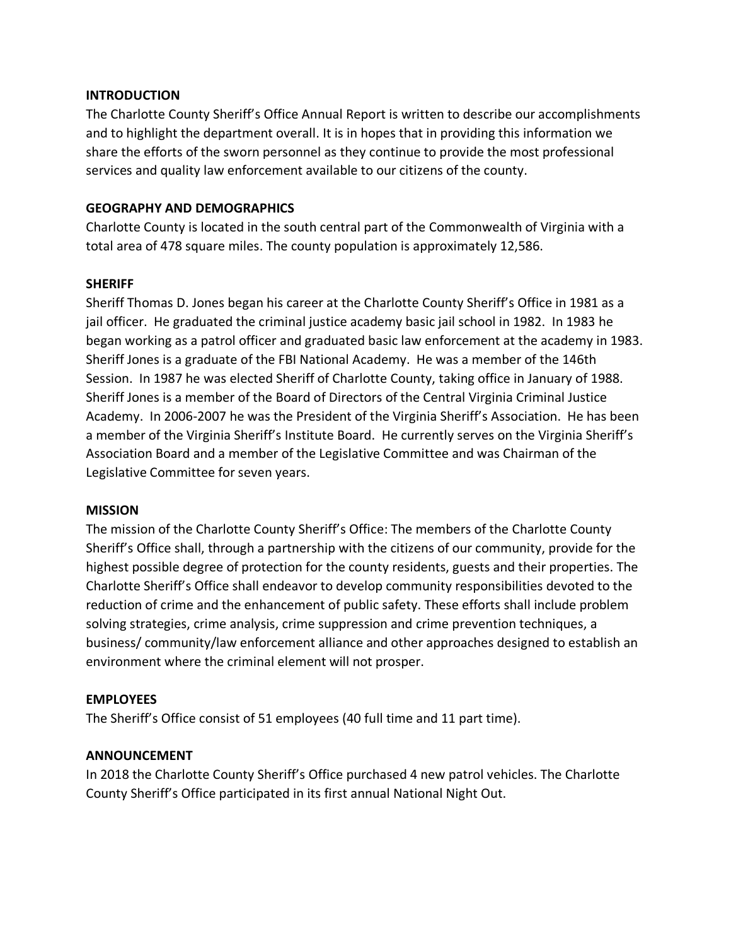### **INTRODUCTION**

The Charlotte County Sheriff's Office Annual Report is written to describe our accomplishments and to highlight the department overall. It is in hopes that in providing this information we share the efforts of the sworn personnel as they continue to provide the most professional services and quality law enforcement available to our citizens of the county.

## **GEOGRAPHY AND DEMOGRAPHICS**

Charlotte County is located in the south central part of the Commonwealth of Virginia with a total area of 478 square miles. The county population is approximately 12,586.

### **SHERIFF**

Sheriff Thomas D. Jones began his career at the Charlotte County Sheriff's Office in 1981 as a jail officer. He graduated the criminal justice academy basic jail school in 1982. In 1983 he began working as a patrol officer and graduated basic law enforcement at the academy in 1983. Sheriff Jones is a graduate of the FBI National Academy. He was a member of the 146th Session. In 1987 he was elected Sheriff of Charlotte County, taking office in January of 1988. Sheriff Jones is a member of the Board of Directors of the Central Virginia Criminal Justice Academy. In 2006-2007 he was the President of the Virginia Sheriff's Association. He has been a member of the Virginia Sheriff's Institute Board. He currently serves on the Virginia Sheriff's Association Board and a member of the Legislative Committee and was Chairman of the Legislative Committee for seven years.

### **MISSION**

The mission of the Charlotte County Sheriff's Office: The members of the Charlotte County Sheriff's Office shall, through a partnership with the citizens of our community, provide for the highest possible degree of protection for the county residents, guests and their properties. The Charlotte Sheriff's Office shall endeavor to develop community responsibilities devoted to the reduction of crime and the enhancement of public safety. These efforts shall include problem solving strategies, crime analysis, crime suppression and crime prevention techniques, a business/ community/law enforcement alliance and other approaches designed to establish an environment where the criminal element will not prosper.

# **EMPLOYEES**

The Sheriff's Office consist of 51 employees (40 full time and 11 part time).

### **ANNOUNCEMENT**

In 2018 the Charlotte County Sheriff's Office purchased 4 new patrol vehicles. The Charlotte County Sheriff's Office participated in its first annual National Night Out.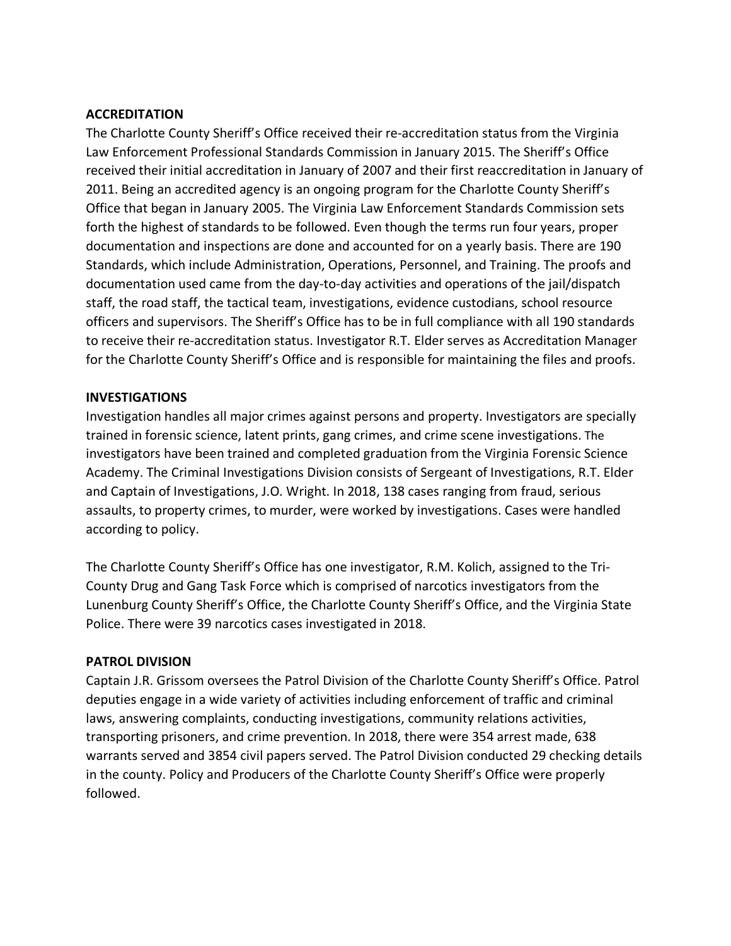### **ACCREDITATION**

The Charlotte County Sheriff's Office received their re-accreditation status from the Virginia Law Enforcement Professional Standards Commission in January 2015. The Sheriff's Office received their initial accreditation in January of 2007 and their first reaccreditation in January of 2011. Being an accredited agency is an ongoing program for the Charlotte County Sheriff's Office that began in January 2005. The Virginia Law Enforcement Standards Commission sets forth the highest of standards to be followed. Even though the terms run four years, proper documentation and inspections are done and accounted for on a yearly basis. There are 190 Standards, which include Administration, Operations, Personnel, and Training. The proofs and documentation used came from the day-to-day activities and operations of the jail/dispatch staff, the road staff, the tactical team, investigations, evidence custodians, school resource officers and supervisors. The Sheriff's Office has to be in full compliance with all 190 standards to receive their re-accreditation status. Investigator R.T. Elder serves as Accreditation Manager for the Charlotte County Sheriff's Office and is responsible for maintaining the files and proofs.

### **INVESTIGATIONS**

Investigation handles all major crimes against persons and property. Investigators are specially trained in forensic science, latent prints, gang crimes, and crime scene investigations. The investigators have been trained and completed graduation from the Virginia Forensic Science Academy. The Criminal Investigations Division consists of Sergeant of Investigations, R.T. Elder and Captain of Investigations, J.O. Wright. In 2018, 138 cases ranging from fraud, serious assaults, to property crimes, to murder, were worked by investigations. Cases were handled according to policy.

The Charlotte County Sheriff's Office has one investigator, R.M. Kolich, assigned to the Tri-County Drug and Gang Task Force which is comprised of narcotics investigators from the Lunenburg County Sheriff's Office, the Charlotte County Sheriff's Office, and the Virginia State Police. There were 39 narcotics cases investigated in 2018.

### **PATROL DIVISION**

Captain J.R. Grissom oversees the Patrol Division of the Charlotte County Sheriff's Office. Patrol deputies engage in a wide variety of activities including enforcement of traffic and criminal laws, answering complaints, conducting investigations, community relations activities, transporting prisoners, and crime prevention. In 2018, there were 354 arrest made, 638 warrants served and 3854 civil papers served. The Patrol Division conducted 29 checking details in the county. Policy and Producers of the Charlotte County Sheriff's Office were properly followed.